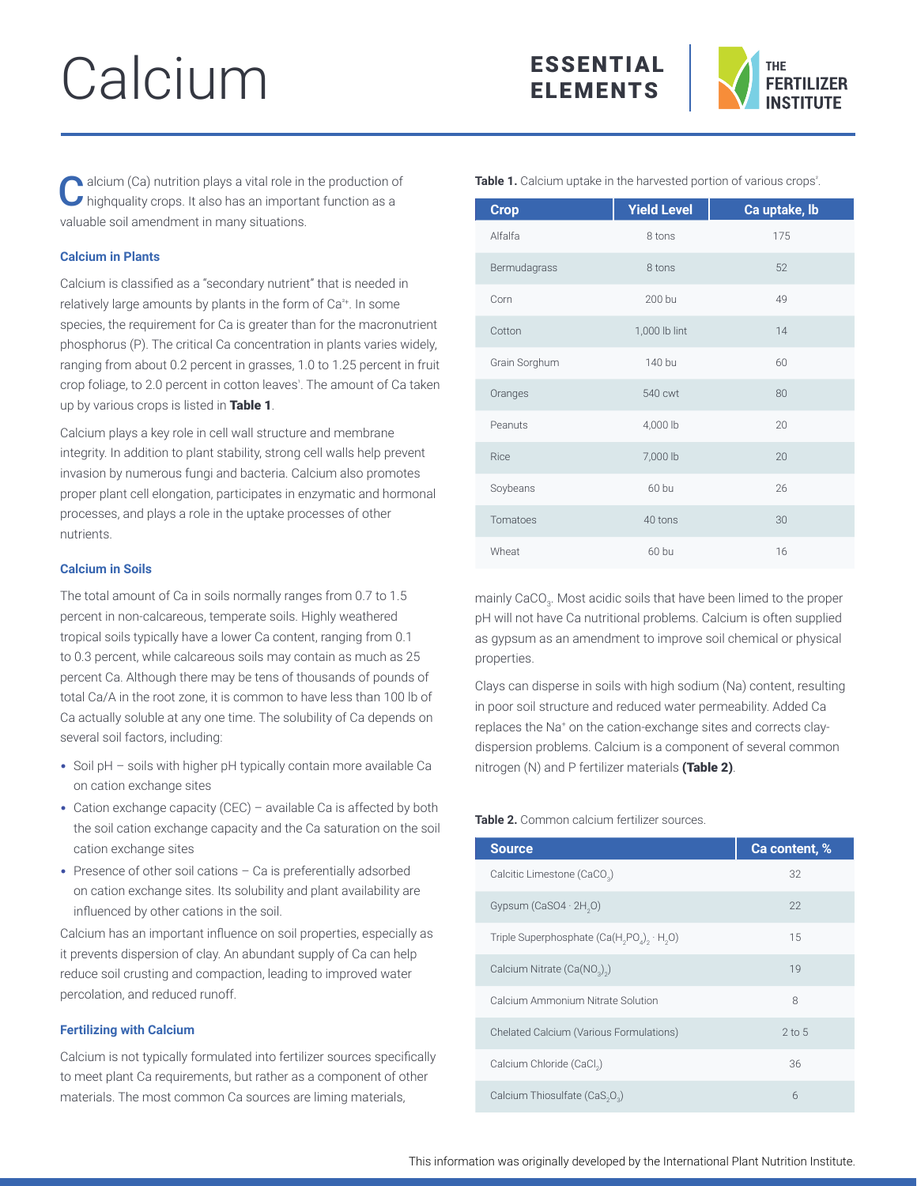# Calcium





alcium (Ca) nutrition plays a vital role in the production of highquality crops. It also has an important function as a valuable soil amendment in many situations.

# **Calcium in Plants**

Calcium is classified as a "secondary nutrient" that is needed in relatively large amounts by plants in the form of Ca²+. In some species, the requirement for Ca is greater than for the macronutrient phosphorus (P). The critical Ca concentration in plants varies widely, ranging from about 0.2 percent in grasses, 1.0 to 1.25 percent in fruit crop foliage, to 2.0 percent in cotton leaves'. The amount of Ca taken up by various crops is listed in Table 1.

Calcium plays a key role in cell wall structure and membrane integrity. In addition to plant stability, strong cell walls help prevent invasion by numerous fungi and bacteria. Calcium also promotes proper plant cell elongation, participates in enzymatic and hormonal processes, and plays a role in the uptake processes of other nutrients.

## **Calcium in Soils**

The total amount of Ca in soils normally ranges from 0.7 to 1.5 percent in non-calcareous, temperate soils. Highly weathered tropical soils typically have a lower Ca content, ranging from 0.1 to 0.3 percent, while calcareous soils may contain as much as 25 percent Ca. Although there may be tens of thousands of pounds of total Ca/A in the root zone, it is common to have less than 100 lb of Ca actually soluble at any one time. The solubility of Ca depends on several soil factors, including:

- Soil pH soils with higher pH typically contain more available Ca on cation exchange sites
- Cation exchange capacity (CEC) available Ca is affected by both the soil cation exchange capacity and the Ca saturation on the soil cation exchange sites
- Presence of other soil cations Ca is preferentially adsorbed on cation exchange sites. Its solubility and plant availability are influenced by other cations in the soil.

Calcium has an important influence on soil properties, especially as it prevents dispersion of clay. An abundant supply of Ca can help reduce soil crusting and compaction, leading to improved water percolation, and reduced runoff.

## **Fertilizing with Calcium**

Calcium is not typically formulated into fertilizer sources specifically to meet plant Ca requirements, but rather as a component of other materials. The most common Ca sources are liming materials,

Table 1. Calcium uptake in the harvested portion of various crops<sup>2</sup>.

| <b>Crop</b>   | <b>Yield Level</b> | Ca uptake, lb |
|---------------|--------------------|---------------|
| Alfalfa       | 8 tons             | 175           |
| Bermudagrass  | 8 tons             | 52            |
| Corn          | 200 bu             | 49            |
| Cotton        | 1,000 lb lint      | 14            |
| Grain Sorghum | 140 bu             | 60            |
| Oranges       | 540 cwt            | 80            |
| Peanuts       | 4,000 lb           | 20            |
| Rice          | 7,000 lb           | 20            |
| Soybeans      | 60 bu              | 26            |
| Tomatoes      | 40 tons            | 30            |
| Wheat         | 60 bu              | 16            |

mainly CaCO $_{\scriptscriptstyle 3}$ . Most acidic soils that have been limed to the proper pH will not have Ca nutritional problems. Calcium is often supplied as gypsum as an amendment to improve soil chemical or physical properties.

Clays can disperse in soils with high sodium (Na) content, resulting in poor soil structure and reduced water permeability. Added Ca replaces the Na+ on the cation-exchange sites and corrects claydispersion problems. Calcium is a component of several common nitrogen (N) and P fertilizer materials (Table 2).

# **Table 2.** Common calcium fertilizer sources.

| <b>Source</b>                                          | Ca content, % |
|--------------------------------------------------------|---------------|
| Calcitic Limestone (CaCO <sub>3</sub> )                | 32            |
| Gypsum (CaSO4 · 2H <sub>2</sub> O)                     | 22            |
| Triple Superphosphate $(Ca(H, PO_A), H, O)$            | 15            |
| Calcium Nitrate (Ca(NO <sub>2</sub> ) <sub>2</sub> )   | 19            |
| Calcium Ammonium Nitrate Solution                      | 8             |
| <b>Chelated Calcium (Various Formulations)</b>         | $2$ to 5      |
| Calcium Chloride (CaCl <sub>2</sub> )                  | 36            |
| Calcium Thiosulfate (CaS <sub>2</sub> O <sub>2</sub> ) | 6             |